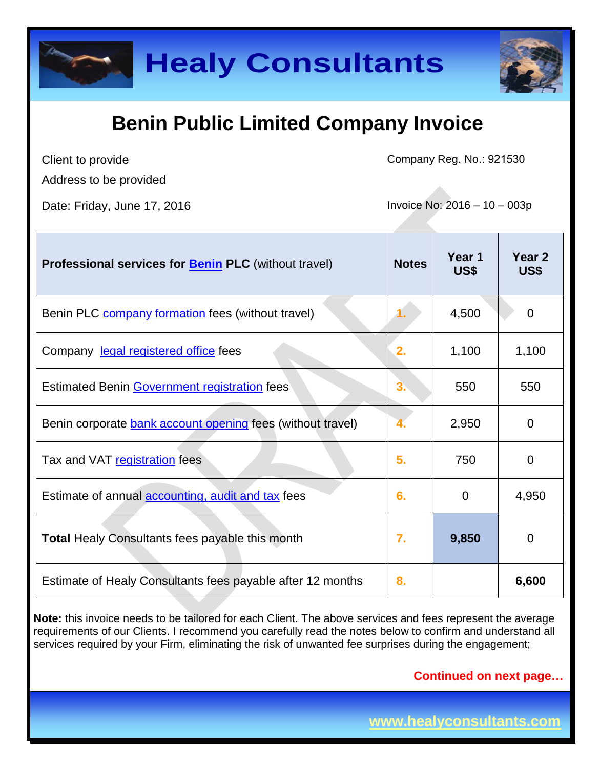

## **Benin Public Limited Company Invoice**

Client to provide

Company Reg. No.: 921530

Address to be provided

Date: Friday, June 17, 2016 **Invoice No: 2016** - 10 – 003p

| Professional services for <b>Benin PLC</b> (without travel) | <b>Notes</b> | Year 1<br>US\$ | Year 2<br>US\$ |
|-------------------------------------------------------------|--------------|----------------|----------------|
| Benin PLC <b>company formation</b> fees (without travel)    |              | 4,500          | 0              |
| Company legal registered office fees                        | 2.           | 1,100          | 1,100          |
| Estimated Benin Government registration fees                | 3.           | 550            | 550            |
| Benin corporate bank account opening fees (without travel)  |              | 2,950          | $\Omega$       |
| Tax and VAT registration fees                               | 5.           | 750            | 0              |
| Estimate of annual accounting, audit and tax fees           | 6.           | 0              | 4,950          |
| <b>Total Healy Consultants fees payable this month</b>      | 7.           | 9,850          | 0              |
| Estimate of Healy Consultants fees payable after 12 months  | 8.           |                | 6,600          |

**Note:** this invoice needs to be tailored for each Client. The above services and fees represent the average requirements of our Clients. I recommend you carefully read the notes below to confirm and understand all services required by your Firm, eliminating the risk of unwanted fee surprises during the engagement;

**Continued on next page…**

**www.healyconsultants.com**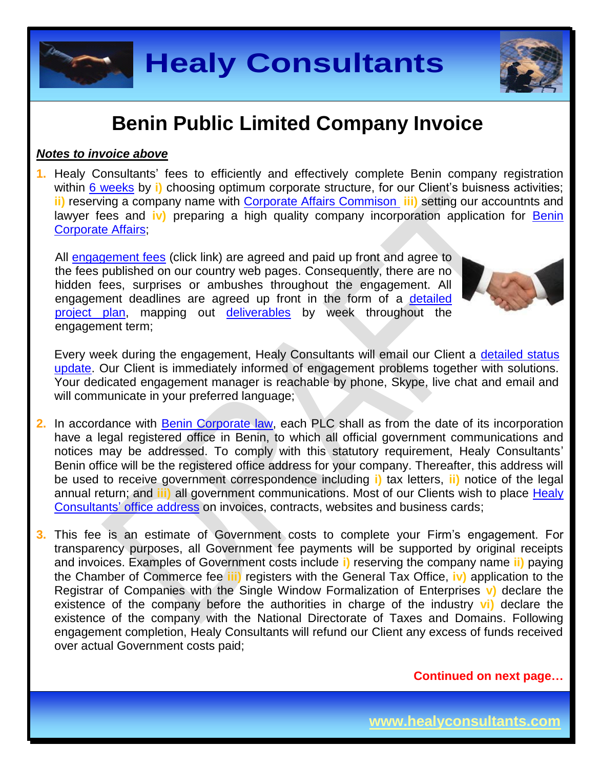### **Benin Public Limited Company Invoice**

#### *Notes to invoice above*

**1.** Healy Consultants' fees to efficiently and effectively complete Benin company registration within 6 [weeks](http://www.healyconsultants.com/benin-company-registration/fees-timelines/#timelines) by **i**) choosing optimum corporate structure, for our Client's buisness activities; **ii)** reserving a company name with [Corporate Affairs Commison](http://new.cac.gov.ng/home/state-offices/) **iii)** setting our accountnts and lawyer fees and **iv)** preparing a high quality company incorporation application for [Benin](http://new.cac.gov.ng/home/state-offices/)  [Corporate Affairs;](http://new.cac.gov.ng/home/state-offices/)

All [engagement fees](http://www.healyconsultants.com/company-registration-fees/) (click link) are agreed and paid up front and agree to the fees published on our country web pages. Consequently, there are no hidden fees, surprises or ambushes throughout the engagement. All engagement deadlines are agreed up front in the form of a [detailed](http://www.healyconsultants.com/index-important-links/example-project-plan/)  [project plan,](http://www.healyconsultants.com/index-important-links/example-project-plan/) mapping out [deliverables](http://www.healyconsultants.com/deliverables-to-our-clients/) by week throughout the engagement term;

Every week during the engagement, Healy Consultants will email our Client a [detailed status](http://www.healyconsultants.com/index-important-links/weekly-engagement-status-email/)  [update.](http://www.healyconsultants.com/index-important-links/weekly-engagement-status-email/) Our Client is immediately informed of engagement problems together with solutions. Your dedicated engagement manager is reachable by phone, Skype, live chat and email and will communicate in your preferred language;

- 2. In accordance with **Benin Corporate law**, each PLC shall as from the date of its incorporation have a legal registered office in Benin, to which all official government communications and notices may be addressed. To comply with this statutory requirement, Healy Consultants' Benin office will be the registered office address for your company. Thereafter, this address will be used to receive government correspondence including **i)** tax letters, **ii)** notice of the legal annual return; and **iii)** all government communications. Most of our Clients wish to place [Healy](http://www.healyconsultants.com/corporate-outsourcing-services/company-secretary-and-legal-registered-office/)  Consultants' [office address](http://www.healyconsultants.com/corporate-outsourcing-services/company-secretary-and-legal-registered-office/) on invoices, contracts, websites and business cards;
- **3.** This fee is an estimate of Government costs to complete your Firm's engagement. For transparency purposes, all Government fee payments will be supported by original receipts and invoices. Examples of Government costs include **i)** reserving the company name **ii)** paying the Chamber of Commerce fee **iii)** registers with the General Tax Office, **iv)** application to the Registrar of Companies with the Single Window Formalization of Enterprises **v)** declare the existence of the company before the authorities in charge of the industry **vi)** declare the existence of the company with the National Directorate of Taxes and Domains. Following engagement completion, Healy Consultants will refund our Client any excess of funds received over actual Government costs paid;





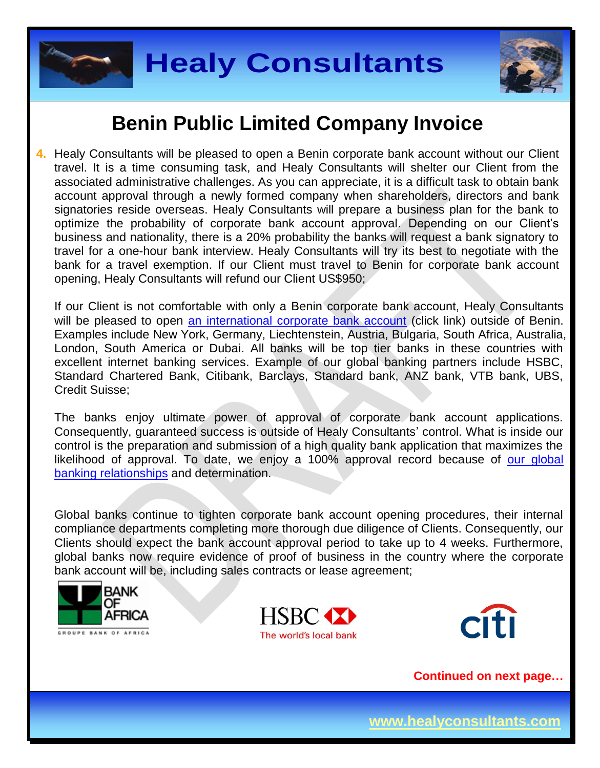



#### **Benin Public Limited Company Invoice**

**4.** Healy Consultants will be pleased to open a Benin corporate bank account without our Client travel. It is a time consuming task, and Healy Consultants will shelter our Client from the associated administrative challenges. As you can appreciate, it is a difficult task to obtain bank account approval through a newly formed company when shareholders, directors and bank signatories reside overseas. Healy Consultants will prepare a business plan for the bank to optimize the probability of corporate bank account approval. Depending on our Client's business and nationality, there is a 20% probability the banks will request a bank signatory to travel for a one-hour bank interview. Healy Consultants will try its best to negotiate with the bank for a travel exemption. If our Client must travel to Benin for corporate bank account opening, Healy Consultants will refund our Client US\$950;

If our Client is not comfortable with only a Benin corporate bank account, Healy Consultants will be pleased to open [an international corporate bank account](http://www.healyconsultants.com/international-banking/) (click link) outside of Benin. Examples include New York, Germany, Liechtenstein, Austria, Bulgaria, South Africa, Australia, London, South America or Dubai. All banks will be top tier banks in these countries with excellent internet banking services. Example of our global banking partners include HSBC, Standard Chartered Bank, Citibank, Barclays, Standard bank, ANZ bank, VTB bank, UBS, Credit Suisse;

The banks enjoy ultimate power of approval of corporate bank account applications. Consequently, guaranteed success is outside of Healy Consultants' control. What is inside our control is the preparation and submission of a high quality bank application that maximizes the likelihood of approval. To date, we enjoy a 100% approval record because of [our global](http://www.healyconsultants.com/international-banking/corporate-accounts/)  [banking relationships](http://www.healyconsultants.com/international-banking/corporate-accounts/) and determination.

Global banks continue to tighten corporate bank account opening procedures, their internal compliance departments completing more thorough due diligence of Clients. Consequently, our Clients should expect the bank account approval period to take up to 4 weeks. Furthermore, global banks now require evidence of proof of business in the country where the corporate bank account will be, including sales contracts or lease agreement;





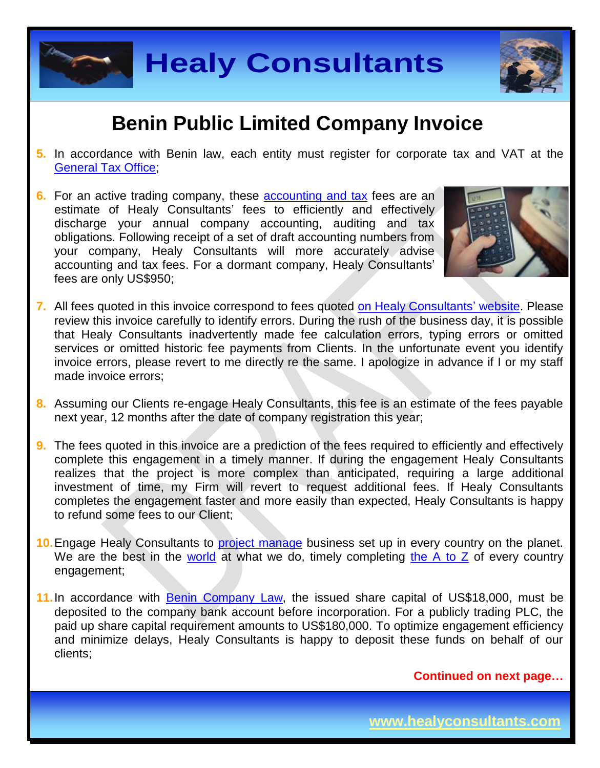



## **Benin Public Limited Company Invoice**

- **5.** In accordance with Benin law, each entity must register for corporate tax and VAT at the [General Tax Office;](http://www.impots.finances.gouv.bj/accueil/)
- **6.** For an active trading company, these [accounting and tax](http://www.healyconsultants.com/benin-company-registration/accounting-legal/) fees are an estimate of Healy Consultants' fees to efficiently and effectively discharge your annual company accounting, auditing and tax obligations. Following receipt of a set of draft accounting numbers from your company, Healy Consultants will more accurately advise accounting and tax fees. For a dormant company, Healy Consultants' fees are only US\$950;



- **7.** All fees quoted in this invoice correspond to fees quoted [on Healy Consultants' website.](http://www.healyconsultants.com/company-registration-fees/) Please review this invoice carefully to identify errors. During the rush of the business day, it is possible that Healy Consultants inadvertently made fee calculation errors, typing errors or omitted services or omitted historic fee payments from Clients. In the unfortunate event you identify invoice errors, please revert to me directly re the same. I apologize in advance if I or my staff made invoice errors;
- **8.** Assuming our Clients re-engage Healy Consultants, this fee is an estimate of the fees payable next year, 12 months after the date of company registration this year;
- **9.** The fees quoted in this invoice are a prediction of the fees required to efficiently and effectively complete this engagement in a timely manner. If during the engagement Healy Consultants realizes that the project is more complex than anticipated, requiring a large additional investment of time, my Firm will revert to request additional fees. If Healy Consultants completes the engagement faster and more easily than expected, Healy Consultants is happy to refund some fees to our Client;
- **10.** Engage Healy Consultants to **project manage** business set up in every country on the planet. We are the best in the [world](http://www.healyconsultants.com/best-in-the-world/) at what we do, timely completing [the A to Z](http://www.healyconsultants.com/a-to-z-of-business-set-up/) of every country engagement;
- **11.**In accordance with [Benin Company](http://www.doingbusiness.org/data/exploreeconomies/benin/starting-a-business/) Law, the issued share capital of US\$18,000, must be deposited to the company bank account before incorporation. For a publicly trading PLC, the paid up share capital requirement amounts to US\$180,000. To optimize engagement efficiency and minimize delays, Healy Consultants is happy to deposit these funds on behalf of our clients;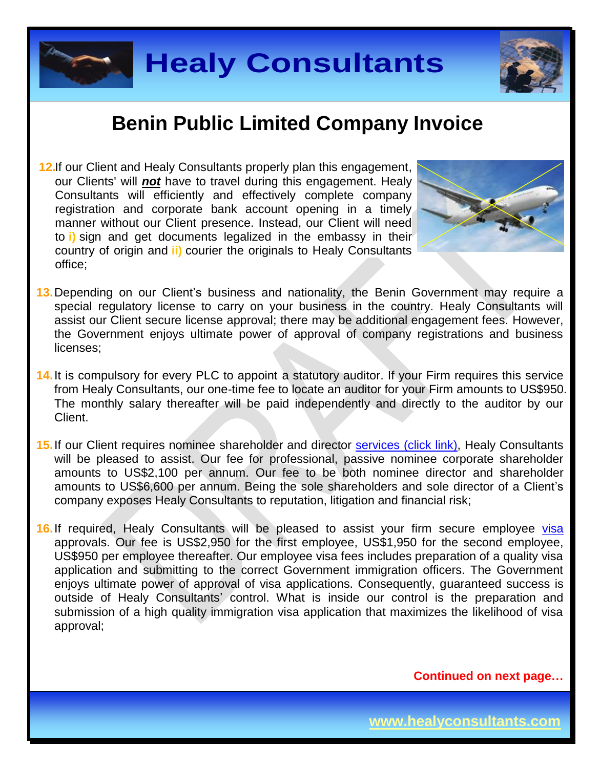



### **Benin Public Limited Company Invoice**

**12.**If our Client and Healy Consultants properly plan this engagement, our Clients' will *not* have to travel during this engagement. Healy Consultants will efficiently and effectively complete company registration and corporate bank account opening in a timely manner without our Client presence. Instead, our Client will need to **i)** sign and get documents legalized in the embassy in their country of origin and **ii)** courier the originals to Healy Consultants office;



- **13.**Depending on our Client's business and nationality, the Benin Government may require a special regulatory license to carry on your business in the country. Healy Consultants will assist our Client secure license approval; there may be additional engagement fees. However, the Government enjoys ultimate power of approval of company registrations and business licenses;
- **14.**It is compulsory for every PLC to appoint a statutory auditor. If your Firm requires this service from Healy Consultants, our one-time fee to locate an auditor for your Firm amounts to US\$950. The monthly salary thereafter will be paid independently and directly to the auditor by our Client.
- 15. If our Client requires nominee shareholder and director services [\(click link\),](http://www.healyconsultants.com/corporate-outsourcing-services/nominee-shareholders-directors/) Healy Consultants will be pleased to assist. Our fee for professional, passive nominee corporate shareholder amounts to US\$2,100 per annum. Our fee to be both nominee director and shareholder amounts to US\$6,600 per annum. Being the sole shareholders and sole director of a Client's company exposes Healy Consultants to reputation, litigation and financial risk;
- 16. If required, Healy Consultants will be pleased to assist your firm secure employee visa approvals. Our fee is US\$2,950 for the first employee, US\$1,950 for the second employee, US\$950 per employee thereafter. Our employee visa fees includes preparation of a quality visa application and submitting to the correct Government immigration officers. The Government enjoys ultimate power of approval of visa applications. Consequently, guaranteed success is outside of Healy Consultants' control. What is inside our control is the preparation and submission of a high quality immigration visa application that maximizes the likelihood of visa approval;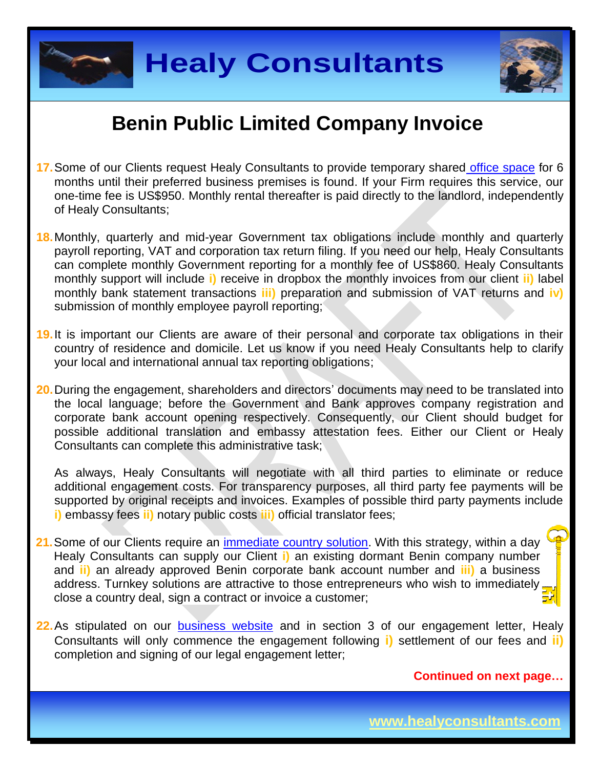



### **Benin Public Limited Company Invoice**

- **17.**Some of our Clients request Healy Consultants to provide temporary shared [office space](http://www.healyconsultants.com/virtual-office/) for 6 months until their preferred business premises is found. If your Firm requires this service, our one-time fee is US\$950. Monthly rental thereafter is paid directly to the landlord, independently of Healy Consultants;
- **18.**Monthly, quarterly and mid-year Government tax obligations include monthly and quarterly payroll reporting, VAT and corporation tax return filing. If you need our help, Healy Consultants can complete monthly Government reporting for a monthly fee of US\$860. Healy Consultants monthly support will include **i)** receive in dropbox the monthly invoices from our client **ii)** label monthly bank statement transactions **iii)** preparation and submission of VAT returns and **iv)** submission of monthly employee payroll reporting;
- **19.**It is important our Clients are aware of their personal and corporate tax obligations in their country of residence and domicile. Let us know if you need Healy Consultants help to clarify your local and international annual tax reporting obligations;
- **20.**During the engagement, shareholders and directors' documents may need to be translated into the local language; before the Government and Bank approves company registration and corporate bank account opening respectively. Consequently, our Client should budget for possible additional translation and embassy attestation fees. Either our Client or Healy Consultants can complete this administrative task;

As always, Healy Consultants will negotiate with all third parties to eliminate or reduce additional engagement costs. For transparency purposes, all third party fee payments will be supported by original receipts and invoices. Examples of possible third party payments include **i)** embassy fees **ii)** notary public costs **iii)** official translator fees;

- **21.**Some of our Clients require an [immediate country](http://www.healyconsultants.com/turnkey-solutions/) solution. With this strategy, within a day Healy Consultants can supply our Client **i)** an existing dormant Benin company number and **ii)** an already approved Benin corporate bank account number and **iii)** a business address. Turnkey solutions are attractive to those entrepreneurs who wish to immediately, close a country deal, sign a contract or invoice a customer;
- 22. As stipulated on our **[business website](http://www.healyconsultants.com/)** and in section 3 of our engagement letter, Healy Consultants will only commence the engagement following **i)** settlement of our fees and **ii)** completion and signing of our legal engagement letter;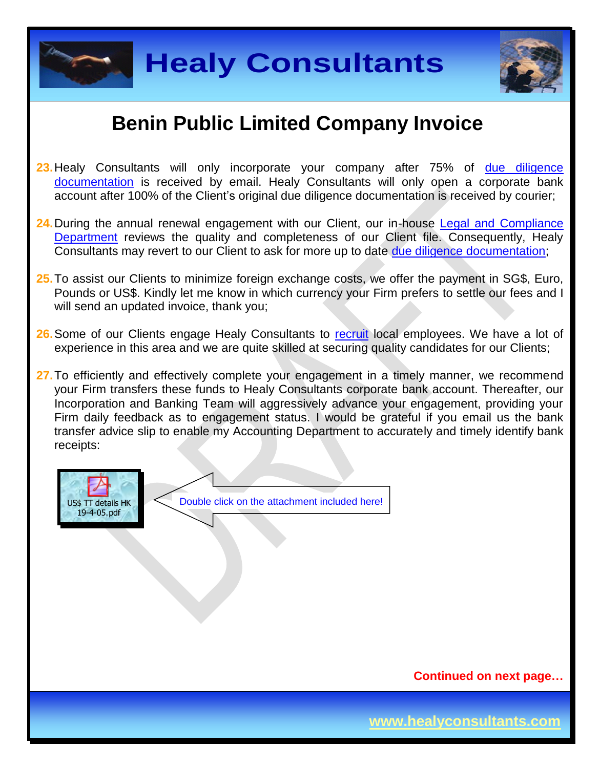



### **Benin Public Limited Company Invoice**

- **23.**Healy Consultants will only incorporate your company after 75% of [due diligence](http://www.healyconsultants.com/due-diligence/)  [documentation](http://www.healyconsultants.com/due-diligence/) is received by email. Healy Consultants will only open a corporate bank account after 100% of the Client's original due diligence documentation is received by courier;
- **24.**During the annual renewal engagement with our Client, our in-house [Legal and Compliance](http://www.healyconsultants.com/about-us/key-personnel/cai-xin-profile/)  [Department](http://www.healyconsultants.com/about-us/key-personnel/cai-xin-profile/) reviews the quality and completeness of our Client file. Consequently, Healy Consultants may revert to our Client to ask for more up to date [due diligence documentation;](http://www.healyconsultants.com/due-diligence/)
- **25.**To assist our Clients to minimize foreign exchange costs, we offer the payment in SG\$, Euro, Pounds or US\$. Kindly let me know in which currency your Firm prefers to settle our fees and I will send an updated invoice, thank you;
- **26.**Some of our Clients engage Healy Consultants to [recruit](http://www.healyconsultants.com/corporate-outsourcing-services/how-we-help-our-clients-recruit-quality-employees/) local employees. We have a lot of experience in this area and we are quite skilled at securing quality candidates for our Clients;
- **27.**To efficiently and effectively complete your engagement in a timely manner, we recommend your Firm transfers these funds to Healy Consultants corporate bank account. Thereafter, our Incorporation and Banking Team will aggressively advance your engagement, providing your Firm daily feedback as to engagement status. I would be grateful if you email us the bank transfer advice slip to enable my Accounting Department to accurately and timely identify bank receipts: